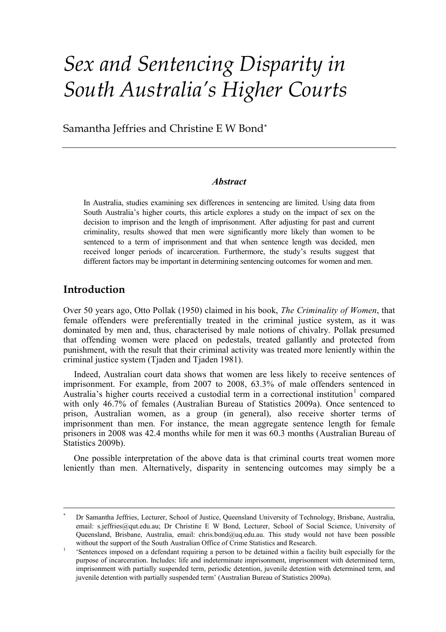# *Sex and Sentencing Disparity in South Australia's Higher Courts*

Samantha Jeffries and Christine E W Bond[\\*](#page-0-0)

#### *Abstract*

In Australia, studies examining sex differences in sentencing are limited. Using data from South Australia's higher courts, this article explores a study on the impact of sex on the decision to imprison and the length of imprisonment. After adjusting for past and current criminality, results showed that men were significantly more likely than women to be sentenced to a term of imprisonment and that when sentence length was decided, men received longer periods of incarceration. Furthermore, the study's results suggest that different factors may be important in determining sentencing outcomes for women and men.

## **Introduction**

Over 50 years ago, Otto Pollak (1950) claimed in his book, *The Criminality of Women*, that female offenders were preferentially treated in the criminal justice system, as it was dominated by men and, thus, characterised by male notions of chivalry. Pollak presumed that offending women were placed on pedestals, treated gallantly and protected from punishment, with the result that their criminal activity was treated more leniently within the criminal justice system (Tjaden and Tjaden 1981).

Indeed, Australian court data shows that women are less likely to receive sentences of imprisonment. For example, from 2007 to 2008, 63.3% of male offenders sentenced in Australia's higher courts received a custodial term in a correctional institution<sup>[1](#page-0-1)</sup> compared with only 46.7% of females (Australian Bureau of Statistics 2009a). Once sentenced to prison, Australian women, as a group (in general), also receive shorter terms of imprisonment than men. For instance, the mean aggregate sentence length for female prisoners in 2008 was 42.4 months while for men it was 60.3 months (Australian Bureau of Statistics 2009b).

One possible interpretation of the above data is that criminal courts treat women more leniently than men. Alternatively, disparity in sentencing outcomes may simply be a

<span id="page-0-0"></span> <sup>\*</sup> Dr Samantha Jeffries, Lecturer, School of Justice, Queensland University of Technology, Brisbane, Australia, email: s.jeffries@qut.edu.au; Dr Christine E W Bond, Lecturer, School of Social Science, University of Queensland, Brisbane, Australia, email: chris.bond@uq.edu.au. This study would not have been possible without the support of the South Australian Office of Crime Statistics and Research.

<span id="page-0-1"></span><sup>1</sup> 'Sentences imposed on a defendant requiring a person to be detained within a facility built especially for the purpose of incarceration. Includes: life and indeterminate imprisonment, imprisonment with determined term, imprisonment with partially suspended term, periodic detention, juvenile detention with determined term, and juvenile detention with partially suspended term' (Australian Bureau of Statistics 2009a).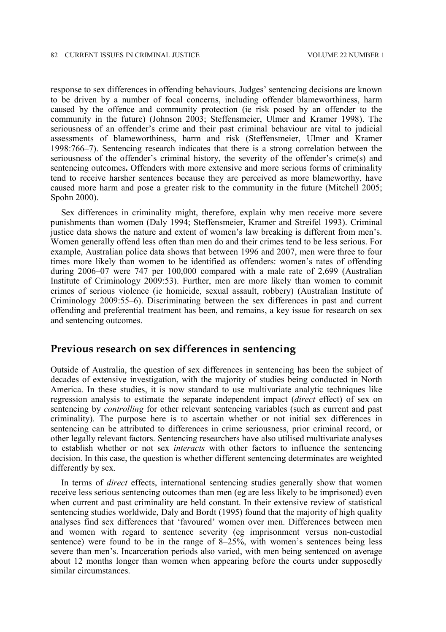response to sex differences in offending behaviours. Judges' sentencing decisions are known to be driven by a number of focal concerns, including offender blameworthiness, harm caused by the offence and community protection (ie risk posed by an offender to the community in the future) (Johnson 2003; Steffensmeier, Ulmer and Kramer 1998). The seriousness of an offender's crime and their past criminal behaviour are vital to judicial assessments of blameworthiness, harm and risk (Steffensmeier, Ulmer and Kramer 1998:766–7). Sentencing research indicates that there is a strong correlation between the seriousness of the offender's criminal history, the severity of the offender's crime(s) and sentencing outcomes**.** Offenders with more extensive and more serious forms of criminality tend to receive harsher sentences because they are perceived as more blameworthy, have caused more harm and pose a greater risk to the community in the future (Mitchell 2005; Spohn 2000).

Sex differences in criminality might, therefore, explain why men receive more severe punishments than women (Daly 1994; Steffensmeier, Kramer and Streifel 1993). Criminal justice data shows the nature and extent of women's law breaking is different from men's. Women generally offend less often than men do and their crimes tend to be less serious. For example, Australian police data shows that between 1996 and 2007, men were three to four times more likely than women to be identified as offenders: women's rates of offending during 2006–07 were 747 per 100,000 compared with a male rate of 2,699 (Australian Institute of Criminology 2009:53). Further, men are more likely than women to commit crimes of serious violence (ie homicide, sexual assault, robbery) (Australian Institute of Criminology 2009:55–6). Discriminating between the sex differences in past and current offending and preferential treatment has been, and remains, a key issue for research on sex and sentencing outcomes.

### **Previous research on sex differences in sentencing**

Outside of Australia, the question of sex differences in sentencing has been the subject of decades of extensive investigation, with the majority of studies being conducted in North America. In these studies, it is now standard to use multivariate analytic techniques like regression analysis to estimate the separate independent impact (*direct* effect) of sex on sentencing by *controlling* for other relevant sentencing variables (such as current and past criminality). The purpose here is to ascertain whether or not initial sex differences in sentencing can be attributed to differences in crime seriousness, prior criminal record, or other legally relevant factors. Sentencing researchers have also utilised multivariate analyses to establish whether or not sex *interacts* with other factors to influence the sentencing decision. In this case, the question is whether different sentencing determinates are weighted differently by sex.

In terms of *direct* effects, international sentencing studies generally show that women receive less serious sentencing outcomes than men (eg are less likely to be imprisoned) even when current and past criminality are held constant. In their extensive review of statistical sentencing studies worldwide, Daly and Bordt (1995) found that the majority of high quality analyses find sex differences that 'favoured' women over men. Differences between men and women with regard to sentence severity (eg imprisonment versus non-custodial sentence) were found to be in the range of 8–25%, with women's sentences being less severe than men's. Incarceration periods also varied, with men being sentenced on average about 12 months longer than women when appearing before the courts under supposedly similar circumstances.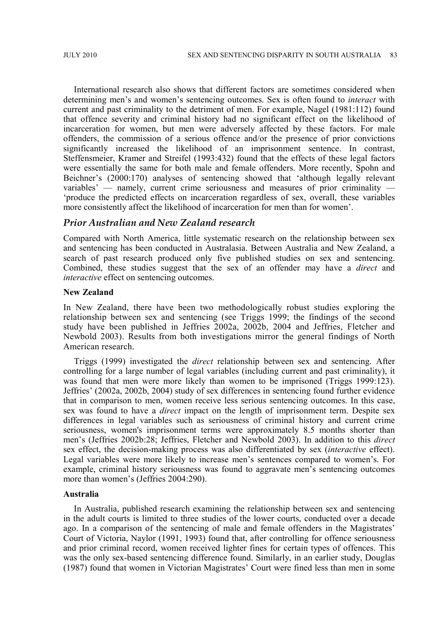International research also shows that different factors are sometimes considered when determining men's and women's sentencing outcomes. Sex is often found to *interact* with current and past criminality to the detriment of men. For example, Nagel (1981:112) found that offence severity and criminal history had no significant effect on the likelihood of incarceration for women, but men were adversely affected by these factors. For male offenders, the commission of a serious offence and/or the presence of prior convictions significantly increased the likelihood of an imprisonment sentence. In contrast, Steffensmeier, Kramer and Streifel (1993:432) found that the effects of these legal factors were essentially the same for both male and female offenders. More recently, Spohn and Beichner's (2000:170) analyses of sentencing showed that 'although legally relevant variables' — namely, current crime seriousness and measures of prior criminality — 'produce the predicted effects on incarceration regardless of sex, overall, these variables more consistently affect the likelihood of incarceration for men than for women'.

#### *Prior Australian and New Zealand research*

Compared with North America, little systematic research on the relationship between sex and sentencing has been conducted in Australasia. Between Australia and New Zealand, a search of past research produced only five published studies on sex and sentencing. Combined, these studies suggest that the sex of an offender may have a *direct* and *interactive* effect on sentencing outcomes.

#### **New Zealand**

In New Zealand, there have been two methodologically robust studies exploring the relationship between sex and sentencing (see Triggs 1999; the findings of the second study have been published in Jeffries 2002a, 2002b, 2004 and Jeffries, Fletcher and Newbold 2003). Results from both investigations mirror the general findings of North American research.

Triggs (1999) investigated the *direct* relationship between sex and sentencing. After controlling for a large number of legal variables (including current and past criminality), it was found that men were more likely than women to be imprisoned (Triggs 1999:123). Jeffries' (2002a, 2002b, 2004) study of sex differences in sentencing found further evidence that in comparison to men, women receive less serious sentencing outcomes. In this case, sex was found to have a *direct* impact on the length of imprisonment term. Despite sex differences in legal variables such as seriousness of criminal history and current crime seriousness, women's imprisonment terms were approximately 8.5 months shorter than men's (Jeffries 2002b:28; Jeffries, Fletcher and Newbold 2003). In addition to this *direct* sex effect, the decision-making process was also differentiated by sex (*interactive* effect). Legal variables were more likely to increase men's sentences compared to women's. For example, criminal history seriousness was found to aggravate men's sentencing outcomes more than women's (Jeffries 2004:290).

#### **Australia**

In Australia, published research examining the relationship between sex and sentencing in the adult courts is limited to three studies of the lower courts, conducted over a decade ago. In a comparison of the sentencing of male and female offenders in the Magistrates' Court of Victoria, Naylor (1991, 1993) found that, after controlling for offence seriousness and prior criminal record, women received lighter fines for certain types of offences. This was the only sex-based sentencing difference found. Similarly, in an earlier study, Douglas (1987) found that women in Victorian Magistrates' Court were fined less than men in some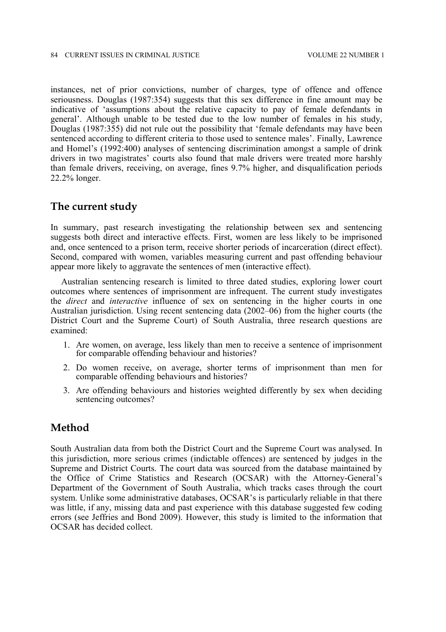instances, net of prior convictions, number of charges, type of offence and offence seriousness. Douglas (1987:354) suggests that this sex difference in fine amount may be indicative of 'assumptions about the relative capacity to pay of female defendants in general'. Although unable to be tested due to the low number of females in his study, Douglas (1987:355) did not rule out the possibility that 'female defendants may have been sentenced according to different criteria to those used to sentence males'. Finally, Lawrence and Homel's (1992:400) analyses of sentencing discrimination amongst a sample of drink drivers in two magistrates' courts also found that male drivers were treated more harshly than female drivers, receiving, on average, fines 9.7% higher, and disqualification periods 22.2% longer.

#### **The current study**

In summary, past research investigating the relationship between sex and sentencing suggests both direct and interactive effects. First, women are less likely to be imprisoned and, once sentenced to a prison term, receive shorter periods of incarceration (direct effect). Second, compared with women, variables measuring current and past offending behaviour appear more likely to aggravate the sentences of men (interactive effect).

Australian sentencing research is limited to three dated studies, exploring lower court outcomes where sentences of imprisonment are infrequent. The current study investigates the *direct* and *interactive* influence of sex on sentencing in the higher courts in one Australian jurisdiction. Using recent sentencing data (2002–06) from the higher courts (the District Court and the Supreme Court) of South Australia, three research questions are examined:

- 1. Are women, on average, less likely than men to receive a sentence of imprisonment for comparable offending behaviour and histories?
- 2. Do women receive, on average, shorter terms of imprisonment than men for comparable offending behaviours and histories?
- 3. Are offending behaviours and histories weighted differently by sex when deciding sentencing outcomes?

## **Method**

South Australian data from both the District Court and the Supreme Court was analysed. In this jurisdiction, more serious crimes (indictable offences) are sentenced by judges in the Supreme and District Courts. The court data was sourced from the database maintained by the Office of Crime Statistics and Research (OCSAR) with the Attorney-General's Department of the Government of South Australia, which tracks cases through the court system. Unlike some administrative databases, OCSAR's is particularly reliable in that there was little, if any, missing data and past experience with this database suggested few coding errors (see Jeffries and Bond 2009). However, this study is limited to the information that OCSAR has decided collect.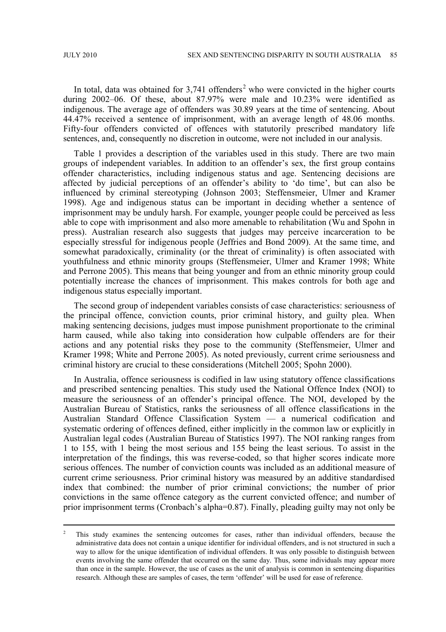In total, data was obtained for  $3,741$  offenders<sup>[2](#page-4-0)</sup> who were convicted in the higher courts during 2002–06. Of these, about 87.97% were male and 10.23% were identified as indigenous. The average age of offenders was 30.89 years at the time of sentencing. About 44.47% received a sentence of imprisonment, with an average length of 48.06 months. Fifty-four offenders convicted of offences with statutorily prescribed mandatory life sentences, and, consequently no discretion in outcome, were not included in our analysis.

Table 1 provides a description of the variables used in this study. There are two main groups of independent variables. In addition to an offender's sex, the first group contains offender characteristics, including indigenous status and age. Sentencing decisions are affected by judicial perceptions of an offender's ability to 'do time', but can also be influenced by criminal stereotyping (Johnson 2003; Steffensmeier, Ulmer and Kramer 1998). Age and indigenous status can be important in deciding whether a sentence of imprisonment may be unduly harsh. For example, younger people could be perceived as less able to cope with imprisonment and also more amenable to rehabilitation (Wu and Spohn in press). Australian research also suggests that judges may perceive incarceration to be especially stressful for indigenous people (Jeffries and Bond 2009). At the same time, and somewhat paradoxically, criminality (or the threat of criminality) is often associated with youthfulness and ethnic minority groups (Steffensmeier, Ulmer and Kramer 1998; White and Perrone 2005). This means that being younger and from an ethnic minority group could potentially increase the chances of imprisonment. This makes controls for both age and indigenous status especially important.

The second group of independent variables consists of case characteristics: seriousness of the principal offence, conviction counts, prior criminal history, and guilty plea. When making sentencing decisions, judges must impose punishment proportionate to the criminal harm caused, while also taking into consideration how culpable offenders are for their actions and any potential risks they pose to the community (Steffensmeier, Ulmer and Kramer 1998; White and Perrone 2005). As noted previously, current crime seriousness and criminal history are crucial to these considerations (Mitchell 2005; Spohn 2000).

In Australia, offence seriousness is codified in law using statutory offence classifications and prescribed sentencing penalties. This study used the National Offence Index (NOI) to measure the seriousness of an offender's principal offence. The NOI, developed by the Australian Bureau of Statistics, ranks the seriousness of all offence classifications in the Australian Standard Offence Classification System — a numerical codification and systematic ordering of offences defined, either implicitly in the common law or explicitly in Australian legal codes (Australian Bureau of Statistics 1997). The NOI ranking ranges from 1 to 155, with 1 being the most serious and 155 being the least serious. To assist in the interpretation of the findings, this was reverse-coded, so that higher scores indicate more serious offences. The number of conviction counts was included as an additional measure of current crime seriousness. Prior criminal history was measured by an additive standardised index that combined: the number of prior criminal convictions; the number of prior convictions in the same offence category as the current convicted offence; and number of prior imprisonment terms (Cronbach's alpha=0.87). Finally, pleading guilty may not only be

<span id="page-4-0"></span><sup>&</sup>lt;sup>2</sup> This study examines the sentencing outcomes for cases, rather than individual offenders, because the administrative data does not contain a unique identifier for individual offenders, and is not structured in such a way to allow for the unique identification of individual offenders. It was only possible to distinguish between events involving the same offender that occurred on the same day. Thus, some individuals may appear more than once in the sample. However, the use of cases as the unit of analysis is common in sentencing disparities research. Although these are samples of cases, the term 'offender' will be used for ease of reference.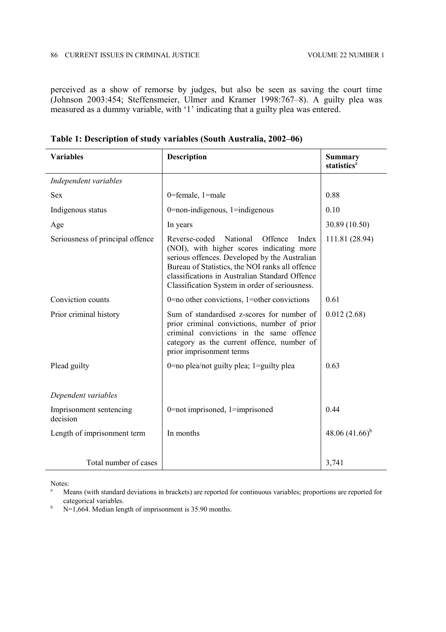perceived as a show of remorse by judges, but also be seen as saving the court time (Johnson 2003:454; Steffensmeier, Ulmer and Kramer 1998:767–8). A guilty plea was measured as a dummy variable, with '1' indicating that a guilty plea was entered.

| <b>Variables</b>                    | Description                                                                                                                                                                                                                                                                                     | <b>Summary</b><br>statistics <sup>a</sup> |  |
|-------------------------------------|-------------------------------------------------------------------------------------------------------------------------------------------------------------------------------------------------------------------------------------------------------------------------------------------------|-------------------------------------------|--|
| Independent variables               |                                                                                                                                                                                                                                                                                                 |                                           |  |
| <b>Sex</b>                          | 0=female, 1=male                                                                                                                                                                                                                                                                                | 0.88                                      |  |
| Indigenous status                   | $0$ =non-indigenous, $1$ =indigenous                                                                                                                                                                                                                                                            | 0.10                                      |  |
| Age                                 | In years                                                                                                                                                                                                                                                                                        | 30.89 (10.50)                             |  |
| Seriousness of principal offence    | Reverse-coded National<br>Offence<br>Index<br>(NOI), with higher scores indicating more<br>serious offences. Developed by the Australian<br>Bureau of Statistics, the NOI ranks all offence<br>classifications in Australian Standard Offence<br>Classification System in order of seriousness. | 111.81 (28.94)                            |  |
| Conviction counts                   | $0$ =no other convictions, 1=other convictions                                                                                                                                                                                                                                                  | 0.61                                      |  |
| Prior criminal history              | Sum of standardised z-scores for number of<br>prior criminal convictions, number of prior<br>criminal convictions in the same offence<br>category as the current offence, number of<br>prior imprisonment terms                                                                                 | 0.012(2.68)                               |  |
| Plead guilty                        | 0 = no plea/not guilty plea; $1 =$ guilty plea                                                                                                                                                                                                                                                  | 0.63                                      |  |
| Dependent variables                 |                                                                                                                                                                                                                                                                                                 |                                           |  |
| Imprisonment sentencing<br>decision | $0$ =not imprisoned, 1=imprisoned                                                                                                                                                                                                                                                               | 0.44                                      |  |
| Length of imprisonment term         | In months                                                                                                                                                                                                                                                                                       | 48.06 $(41.66)^{b}$                       |  |
| Total number of cases               |                                                                                                                                                                                                                                                                                                 | 3,741                                     |  |

**Table 1: Description of study variables (South Australia, 2002–06)**

Notes:

<sup>a</sup> Means (with standard deviations in brackets) are reported for continuous variables; proportions are reported for categorical variables.

 $h$  N=1,664. Median length of imprisonment is 35.90 months.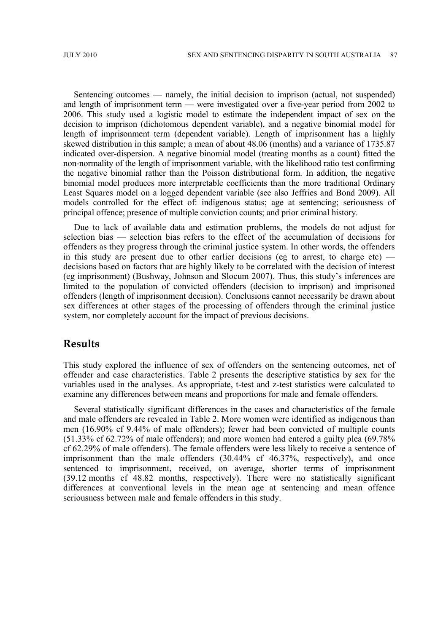Sentencing outcomes — namely, the initial decision to imprison (actual, not suspended) and length of imprisonment term — were investigated over a five-year period from 2002 to 2006. This study used a logistic model to estimate the independent impact of sex on the decision to imprison (dichotomous dependent variable), and a negative binomial model for length of imprisonment term (dependent variable). Length of imprisonment has a highly skewed distribution in this sample; a mean of about 48.06 (months) and a variance of 1735.87 indicated over-dispersion. A negative binomial model (treating months as a count) fitted the non-normality of the length of imprisonment variable, with the likelihood ratio test confirming the negative binomial rather than the Poisson distributional form. In addition, the negative binomial model produces more interpretable coefficients than the more traditional Ordinary Least Squares model on a logged dependent variable (see also Jeffries and Bond 2009). All models controlled for the effect of: indigenous status; age at sentencing; seriousness of principal offence; presence of multiple conviction counts; and prior criminal history.

Due to lack of available data and estimation problems, the models do not adjust for selection bias — selection bias refers to the effect of the accumulation of decisions for offenders as they progress through the criminal justice system. In other words, the offenders in this study are present due to other earlier decisions (eg to arrest, to charge etc) decisions based on factors that are highly likely to be correlated with the decision of interest (eg imprisonment) (Bushway, Johnson and Slocum 2007). Thus, this study's inferences are limited to the population of convicted offenders (decision to imprison) and imprisoned offenders (length of imprisonment decision). Conclusions cannot necessarily be drawn about sex differences at other stages of the processing of offenders through the criminal justice system, nor completely account for the impact of previous decisions.

### **Results**

This study explored the influence of sex of offenders on the sentencing outcomes, net of offender and case characteristics. Table 2 presents the descriptive statistics by sex for the variables used in the analyses. As appropriate, t-test and z-test statistics were calculated to examine any differences between means and proportions for male and female offenders.

Several statistically significant differences in the cases and characteristics of the female and male offenders are revealed in Table 2. More women were identified as indigenous than men (16.90% cf 9.44% of male offenders); fewer had been convicted of multiple counts (51.33% cf 62.72% of male offenders); and more women had entered a guilty plea (69.78% cf 62.29% of male offenders). The female offenders were less likely to receive a sentence of imprisonment than the male offenders (30.44% cf 46.37%, respectively), and once sentenced to imprisonment, received, on average, shorter terms of imprisonment (39.12 months cf 48.82 months, respectively). There were no statistically significant differences at conventional levels in the mean age at sentencing and mean offence seriousness between male and female offenders in this study.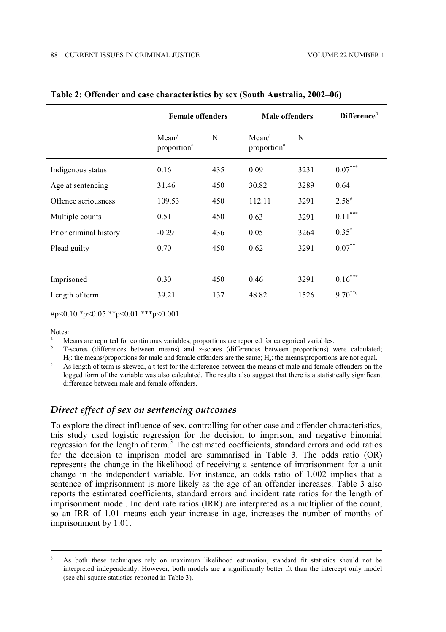|                        | <b>Female offenders</b>          |     | <b>Male offenders</b>            | Difference <sup>b</sup> |                       |  |
|------------------------|----------------------------------|-----|----------------------------------|-------------------------|-----------------------|--|
|                        | Mean/<br>proportion <sup>a</sup> | N   | Mean/<br>proportion <sup>a</sup> | N                       |                       |  |
| Indigenous status      | 0.16                             | 435 | 0.09                             | 3231                    | $0.07***$             |  |
| Age at sentencing      | 31.46                            | 450 | 30.82                            | 3289                    | 0.64                  |  |
| Offence seriousness    | 109.53                           | 450 | 112.11                           | 3291                    | $2.58^{\#}$           |  |
| Multiple counts        | 0.51                             | 450 | 0.63                             | 3291                    | $0.11^{\ast\ast\ast}$ |  |
| Prior criminal history | $-0.29$                          | 436 | 0.05                             | 3264                    | $0.35*$               |  |
| Plead guilty           | 0.70                             | 450 | 0.62                             | 3291                    | $0.07***$             |  |
|                        |                                  |     |                                  |                         |                       |  |
| Imprisoned             | 0.30                             | 450 | 0.46                             | 3291                    | $0.16***$             |  |
| Length of term         | 39.21                            | 137 | 48.82                            | 1526                    | $9.70***$             |  |

#### **Table 2: Offender and case characteristics by sex (South Australia, 2002–06)**

#p<0.10  $p$ sp <0.05  $p$ sp <0.01  $p$ ss  $p$ sp <0.001

Notes:

Means are reported for continuous variables; proportions are reported for categorical variables.

<sup>b</sup> T-scores (differences between means) and z-scores (differences between proportions) were calculated;  $H_0$ : the means/proportions for male and female offenders are the same;  $H_a$ : the means/proportions are not equal.

As length of term is skewed, a t-test for the difference between the means of male and female offenders on the logged form of the variable was also calculated. The results also suggest that there is a statistically significant difference between male and female offenders.

## *Direct effect of sex on sentencing outcomes*

To explore the direct influence of sex, controlling for other case and offender characteristics, this study used logistic regression for the decision to imprison, and negative binomial regression for the length of term.[3](#page-7-0) The estimated coefficients, standard errors and odd ratios for the decision to imprison model are summarised in Table 3. The odds ratio (OR) represents the change in the likelihood of receiving a sentence of imprisonment for a unit change in the independent variable. For instance, an odds ratio of 1.002 implies that a sentence of imprisonment is more likely as the age of an offender increases. Table 3 also reports the estimated coefficients, standard errors and incident rate ratios for the length of imprisonment model. Incident rate ratios (IRR) are interpreted as a multiplier of the count, so an IRR of 1.01 means each year increase in age, increases the number of months of imprisonment by 1.01.

<span id="page-7-0"></span><sup>&</sup>lt;sup>3</sup> As both these techniques rely on maximum likelihood estimation, standard fit statistics should not be interpreted independently. However, both models are a significantly better fit than the intercept only model (see chi-square statistics reported in Table 3).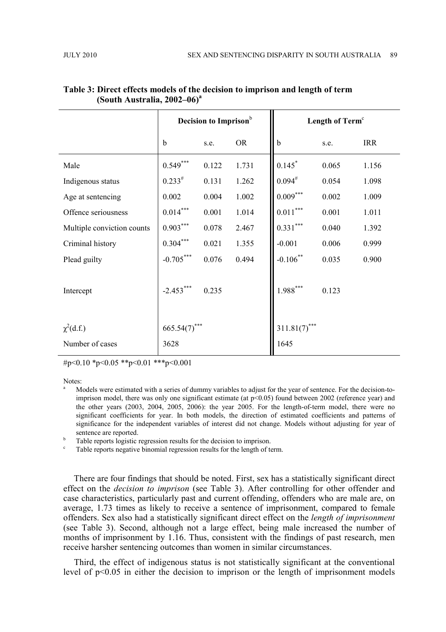|                            |             | Decision to Imprison <sup>b</sup> |           | Length of Term <sup>c</sup> |                    |       |  |
|----------------------------|-------------|-----------------------------------|-----------|-----------------------------|--------------------|-------|--|
|                            | $\mathbf b$ | s.e.                              | <b>OR</b> | $\mathbf b$                 | <b>IRR</b><br>s.e. |       |  |
| Male                       | $0.549^{*}$ | 0.122                             | 1.731     | 0.145                       | 0.065              | 1.156 |  |
| Indigenous status          | $0.233^{#}$ | 0.131                             | 1.262     | $0.094^{#}$                 | 0.054              | 1.098 |  |
| Age at sentencing          | 0.002       | 0.004                             | 1.002     | $0.009***$                  | 0.002              | 1.009 |  |
| Offence seriousness        | $0.014***$  | 0.001                             | 1.014     | $0.011^{\ast\ast\ast}$      | 0.001              | 1.011 |  |
| Multiple conviction counts | $0.903***$  | 0.078                             | 2.467     | $0.331^{\ast\ast\ast}$      | 0.040              | 1.392 |  |
| Criminal history           | $0.304***$  | 0.021                             | 1.355     | $-0.001$                    | 0.006              | 0.999 |  |
| Plead guilty               | $-0.705***$ | 0.076                             | 0.494     | $-0.106$ **                 | 0.035              | 0.900 |  |
| Intercept                  | $-2.453***$ | 0.235                             |           | $1.988***$                  | 0.123              |       |  |
| $\chi^2(d.f.)$             | 665.54(7)   |                                   |           | 311.81(7)                   |                    |       |  |
| Number of cases            | 3628        |                                   |           | 1645                        |                    |       |  |

#### **Table 3: Direct effects models of the decision to imprison and length of term (South Australia, 2002–06)<sup>a</sup>**

#p<0.10 \*p<0.05 \*\*p<0.01 \*\*\*p<0.001

Notes:

<sup>a</sup> Models were estimated with a series of dummy variables to adjust for the year of sentence. For the decision-toimprison model, there was only one significant estimate (at  $p<0.05$ ) found between 2002 (reference year) and the other years (2003, 2004, 2005, 2006): the year 2005. For the length-of-term model, there were no significant coefficients for year. In both models, the direction of estimated coefficients and patterns of significance for the independent variables of interest did not change. Models without adjusting for year of sentence are reported.

<sup>b</sup> Table reports logistic regression results for the decision to imprison.

Table reports negative binomial regression results for the length of term.

There are four findings that should be noted. First, sex has a statistically significant direct effect on the *decision to imprison* (see Table 3). After controlling for other offender and case characteristics, particularly past and current offending, offenders who are male are, on average, 1.73 times as likely to receive a sentence of imprisonment, compared to female offenders. Sex also had a statistically significant direct effect on the *length of imprisonment* (see Table 3). Second, although not a large effect, being male increased the number of months of imprisonment by 1.16. Thus, consistent with the findings of past research, men receive harsher sentencing outcomes than women in similar circumstances.

Third, the effect of indigenous status is not statistically significant at the conventional level of p<0.05 in either the decision to imprison or the length of imprisonment models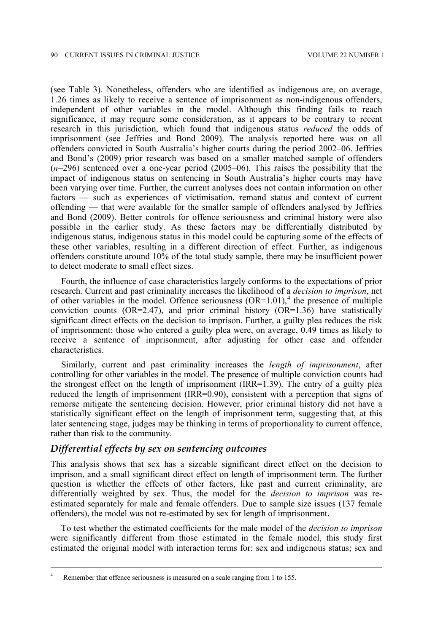(see Table 3). Nonetheless, offenders who are identified as indigenous are, on average, 1.26 times as likely to receive a sentence of imprisonment as non-indigenous offenders, independent of other variables in the model. Although this finding fails to reach significance, it may require some consideration, as it appears to be contrary to recent research in this jurisdiction, which found that indigenous status *reduced* the odds of imprisonment (see Jeffries and Bond 2009). The analysis reported here was on all offenders convicted in South Australia's higher courts during the period 2002–06. Jeffries and Bond's (2009) prior research was based on a smaller matched sample of offenders (*n*=296) sentenced over a one-year period (2005–06). This raises the possibility that the impact of indigenous status on sentencing in South Australia's higher courts may have been varying over time. Further, the current analyses does not contain information on other factors — such as experiences of victimisation, remand status and context of current offending — that were available for the smaller sample of offenders analysed by Jeffries and Bond (2009). Better controls for offence seriousness and criminal history were also possible in the earlier study. As these factors may be differentially distributed by indigenous status, indigenous status in this model could be capturing some of the effects of these other variables, resulting in a different direction of effect. Further, as indigenous offenders constitute around 10% of the total study sample, there may be insufficient power to detect moderate to small effect sizes.

Fourth, the influence of case characteristics largely conforms to the expectations of prior research. Current and past criminality increases the likelihood of a *decision to imprison*, net of other variables in the model. Offence seriousness  $(OR=1.01)$ ,<sup>[4](#page-9-0)</sup> the presence of multiple conviction counts (OR=2.47), and prior criminal history (OR=1.36) have statistically significant direct effects on the decision to imprison. Further, a guilty plea reduces the risk of imprisonment: those who entered a guilty plea were, on average, 0.49 times as likely to receive a sentence of imprisonment, after adjusting for other case and offender characteristics.

Similarly, current and past criminality increases the *length of imprisonment*, after controlling for other variables in the model. The presence of multiple conviction counts had the strongest effect on the length of imprisonment (IRR=1.39). The entry of a guilty plea reduced the length of imprisonment (IRR=0.90), consistent with a perception that signs of remorse mitigate the sentencing decision. However, prior criminal history did not have a statistically significant effect on the length of imprisonment term, suggesting that, at this later sentencing stage, judges may be thinking in terms of proportionality to current offence, rather than risk to the community.

#### *Differential effects by sex on sentencing outcomes*

This analysis shows that sex has a sizeable significant direct effect on the decision to imprison, and a small significant direct effect on length of imprisonment term. The further question is whether the effects of other factors, like past and current criminality, are differentially weighted by sex. Thus, the model for the *decision to imprison* was reestimated separately for male and female offenders. Due to sample size issues (137 female offenders), the model was not re-estimated by sex for length of imprisonment.

To test whether the estimated coefficients for the male model of the *decision to imprison* were significantly different from those estimated in the female model, this study first estimated the original model with interaction terms for: sex and indigenous status; sex and

<span id="page-9-0"></span><sup>&</sup>lt;sup>4</sup> Remember that offence seriousness is measured on a scale ranging from 1 to 155.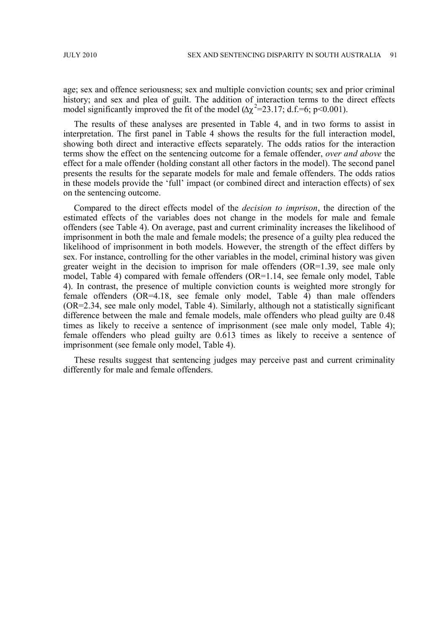age; sex and offence seriousness; sex and multiple conviction counts; sex and prior criminal history; and sex and plea of guilt. The addition of interaction terms to the direct effects model significantly improved the fit of the model  $(\Delta \chi^2 = 23.17; d.f = 6; p < 0.001)$ .

The results of these analyses are presented in Table 4, and in two forms to assist in interpretation. The first panel in Table 4 shows the results for the full interaction model, showing both direct and interactive effects separately. The odds ratios for the interaction terms show the effect on the sentencing outcome for a female offender, *over and above* the effect for a male offender (holding constant all other factors in the model). The second panel presents the results for the separate models for male and female offenders. The odds ratios in these models provide the 'full' impact (or combined direct and interaction effects) of sex on the sentencing outcome.

Compared to the direct effects model of the *decision to imprison*, the direction of the estimated effects of the variables does not change in the models for male and female offenders (see Table 4). On average, past and current criminality increases the likelihood of imprisonment in both the male and female models; the presence of a guilty plea reduced the likelihood of imprisonment in both models. However, the strength of the effect differs by sex. For instance, controlling for the other variables in the model, criminal history was given greater weight in the decision to imprison for male offenders (OR=1.39, see male only model, Table 4) compared with female offenders  $(OR=1.14,$  see female only model, Table 4). In contrast, the presence of multiple conviction counts is weighted more strongly for female offenders (OR=4.18, see female only model, Table 4) than male offenders (OR=2.34, see male only model, Table 4). Similarly, although not a statistically significant difference between the male and female models, male offenders who plead guilty are 0.48 times as likely to receive a sentence of imprisonment (see male only model, Table 4); female offenders who plead guilty are 0.613 times as likely to receive a sentence of imprisonment (see female only model, Table 4).

These results suggest that sentencing judges may perceive past and current criminality differently for male and female offenders.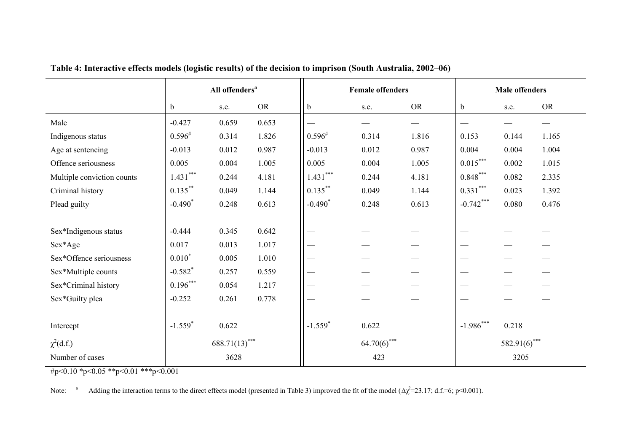|                            | All offenders <sup>a</sup> |       |                | <b>Female offenders</b> |       |                 | <b>Male offenders</b> |       |           |
|----------------------------|----------------------------|-------|----------------|-------------------------|-------|-----------------|-----------------------|-------|-----------|
|                            | $\mathbf b$                | s.e.  | <b>OR</b>      | b                       | s.e.  | <b>OR</b>       | b                     | s.e.  | <b>OR</b> |
| Male                       | $-0.427$                   | 0.659 | 0.653          |                         |       |                 |                       |       |           |
| Indigenous status          | $0.596^{#}$                | 0.314 | 1.826          | $0.596^{#}$             | 0.314 | 1.816           | 0.153                 | 0.144 | 1.165     |
| Age at sentencing          | $-0.013$                   | 0.012 | 0.987          | $-0.013$                | 0.012 | 0.987           | 0.004                 | 0.004 | 1.004     |
| Offence seriousness        | 0.005                      | 0.004 | 1.005          | 0.005                   | 0.004 | 1.005           | $0.015***$            | 0.002 | 1.015     |
| Multiple conviction counts | $1.431***$                 | 0.244 | 4.181          | $1.431***$              | 0.244 | 4.181           | $0.848***$            | 0.082 | 2.335     |
| Criminal history           | $0.135***$                 | 0.049 | 1.144          | $0.135***$              | 0.049 | 1.144           | $0.331***$            | 0.023 | 1.392     |
| Plead guilty               | $-0.490*$                  | 0.248 | 0.613          | $-0.490*$               | 0.248 | 0.613           | $-0.742***$           | 0.080 | 0.476     |
|                            |                            |       |                |                         |       |                 |                       |       |           |
| Sex*Indigenous status      | $-0.444$                   | 0.345 | 0.642          |                         |       |                 |                       |       |           |
| Sex*Age                    | 0.017                      | 0.013 | 1.017          |                         |       |                 |                       |       |           |
| Sex*Offence seriousness    | $0.010*$                   | 0.005 | 1.010          |                         |       |                 |                       |       |           |
| Sex*Multiple counts        | $-0.582$ <sup>*</sup>      | 0.257 | 0.559          |                         |       |                 |                       |       |           |
| Sex*Criminal history       | $0.196***$                 | 0.054 | 1.217          |                         |       |                 |                       |       |           |
| Sex*Guilty plea            | $-0.252$                   | 0.261 | 0.778          |                         |       |                 |                       |       |           |
|                            |                            |       |                |                         |       |                 |                       |       |           |
| Intercept                  | $-1.559*$                  | 0.622 |                | $-1.559*$               | 0.622 |                 | $-1.986***$           | 0.218 |           |
| $\chi^2(d.f.)$             | $688.71(13)$ ***           |       | $64.70(6)$ *** |                         |       | $582.91(6)$ *** |                       |       |           |
| Number of cases            |                            | 3628  |                | 423                     |       |                 | 3205                  |       |           |

**Table 4: Interactive effects models (logistic results) of the decision to imprison (South Australia, 2002–06)**

#p<0.10 \*p<0.05 \*\*p<0.01 \*\*\*p<0.001

Note: a Adding the interaction terms to the direct effects model (presented in Table 3) improved the fit of the model ( $\Delta \chi^2 = 23.17$ ; d.f.=6; p<0.001).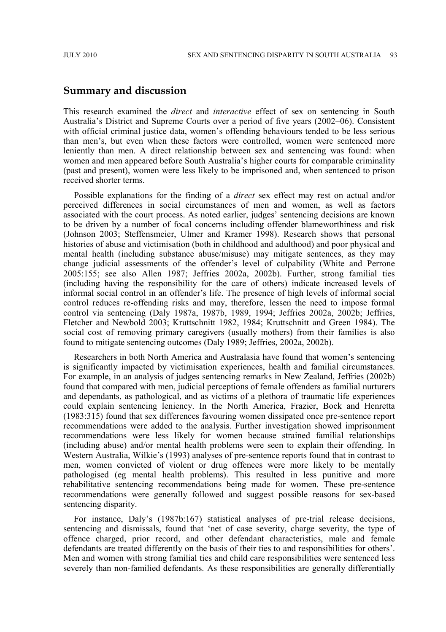### **Summary and discussion**

This research examined the *direct* and *interactive* effect of sex on sentencing in South Australia's District and Supreme Courts over a period of five years (2002–06). Consistent with official criminal justice data, women's offending behaviours tended to be less serious than men's, but even when these factors were controlled, women were sentenced more leniently than men. A direct relationship between sex and sentencing was found: when women and men appeared before South Australia's higher courts for comparable criminality (past and present), women were less likely to be imprisoned and, when sentenced to prison received shorter terms.

Possible explanations for the finding of a *direct* sex effect may rest on actual and/or perceived differences in social circumstances of men and women, as well as factors associated with the court process. As noted earlier, judges' sentencing decisions are known to be driven by a number of focal concerns including offender blameworthiness and risk (Johnson 2003; Steffensmeier, Ulmer and Kramer 1998). Research shows that personal histories of abuse and victimisation (both in childhood and adulthood) and poor physical and mental health (including substance abuse/misuse) may mitigate sentences, as they may change judicial assessments of the offender's level of culpability (White and Perrone 2005:155; see also Allen 1987; Jeffries 2002a, 2002b). Further, strong familial ties (including having the responsibility for the care of others) indicate increased levels of informal social control in an offender's life. The presence of high levels of informal social control reduces re-offending risks and may, therefore, lessen the need to impose formal control via sentencing (Daly 1987a, 1987b, 1989, 1994; Jeffries 2002a, 2002b; Jeffries, Fletcher and Newbold 2003; Kruttschnitt 1982, 1984; Kruttschnitt and Green 1984). The social cost of removing primary caregivers (usually mothers) from their families is also found to mitigate sentencing outcomes (Daly 1989; Jeffries, 2002a, 2002b).

Researchers in both North America and Australasia have found that women's sentencing is significantly impacted by victimisation experiences, health and familial circumstances. For example, in an analysis of judges sentencing remarks in New Zealand, Jeffries (2002b) found that compared with men, judicial perceptions of female offenders as familial nurturers and dependants, as pathological, and as victims of a plethora of traumatic life experiences could explain sentencing leniency. In the North America, Frazier, Bock and Henretta (1983:315) found that sex differences favouring women dissipated once pre-sentence report recommendations were added to the analysis. Further investigation showed imprisonment recommendations were less likely for women because strained familial relationships (including abuse) and/or mental health problems were seen to explain their offending. In Western Australia, Wilkie's (1993) analyses of pre-sentence reports found that in contrast to men, women convicted of violent or drug offences were more likely to be mentally pathologised (eg mental health problems). This resulted in less punitive and more rehabilitative sentencing recommendations being made for women. These pre-sentence recommendations were generally followed and suggest possible reasons for sex-based sentencing disparity.

For instance, Daly's (1987b:167) statistical analyses of pre-trial release decisions, sentencing and dismissals, found that 'net of case severity, charge severity, the type of offence charged, prior record, and other defendant characteristics, male and female defendants are treated differently on the basis of their ties to and responsibilities for others'. Men and women with strong familial ties and child care responsibilities were sentenced less severely than non-familied defendants. As these responsibilities are generally differentially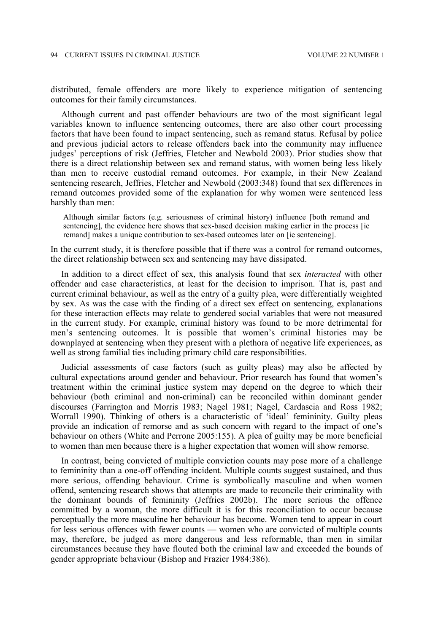distributed, female offenders are more likely to experience mitigation of sentencing outcomes for their family circumstances.

Although current and past offender behaviours are two of the most significant legal variables known to influence sentencing outcomes, there are also other court processing factors that have been found to impact sentencing, such as remand status. Refusal by police and previous judicial actors to release offenders back into the community may influence judges' perceptions of risk (Jeffries, Fletcher and Newbold 2003). Prior studies show that there is a direct relationship between sex and remand status, with women being less likely than men to receive custodial remand outcomes. For example, in their New Zealand sentencing research, Jeffries, Fletcher and Newbold (2003:348) found that sex differences in remand outcomes provided some of the explanation for why women were sentenced less harshly than men:

Although similar factors (e.g. seriousness of criminal history) influence [both remand and sentencing], the evidence here shows that sex-based decision making earlier in the process [ie remand] makes a unique contribution to sex-based outcomes later on [ie sentencing].

In the current study, it is therefore possible that if there was a control for remand outcomes, the direct relationship between sex and sentencing may have dissipated.

In addition to a direct effect of sex, this analysis found that sex *interacted* with other offender and case characteristics, at least for the decision to imprison. That is, past and current criminal behaviour, as well as the entry of a guilty plea, were differentially weighted by sex. As was the case with the finding of a direct sex effect on sentencing, explanations for these interaction effects may relate to gendered social variables that were not measured in the current study. For example, criminal history was found to be more detrimental for men's sentencing outcomes. It is possible that women's criminal histories may be downplayed at sentencing when they present with a plethora of negative life experiences, as well as strong familial ties including primary child care responsibilities.

Judicial assessments of case factors (such as guilty pleas) may also be affected by cultural expectations around gender and behaviour. Prior research has found that women's treatment within the criminal justice system may depend on the degree to which their behaviour (both criminal and non-criminal) can be reconciled within dominant gender discourses (Farrington and Morris 1983; Nagel 1981; Nagel, Cardascia and Ross 1982; Worrall 1990). Thinking of others is a characteristic of 'ideal' femininity. Guilty pleas provide an indication of remorse and as such concern with regard to the impact of one's behaviour on others (White and Perrone 2005:155). A plea of guilty may be more beneficial to women than men because there is a higher expectation that women will show remorse.

In contrast, being convicted of multiple conviction counts may pose more of a challenge to femininity than a one-off offending incident. Multiple counts suggest sustained, and thus more serious, offending behaviour. Crime is symbolically masculine and when women offend, sentencing research shows that attempts are made to reconcile their criminality with the dominant bounds of femininity (Jeffries 2002b). The more serious the offence committed by a woman, the more difficult it is for this reconciliation to occur because perceptually the more masculine her behaviour has become. Women tend to appear in court for less serious offences with fewer counts — women who are convicted of multiple counts may, therefore, be judged as more dangerous and less reformable, than men in similar circumstances because they have flouted both the criminal law and exceeded the bounds of gender appropriate behaviour (Bishop and Frazier 1984:386).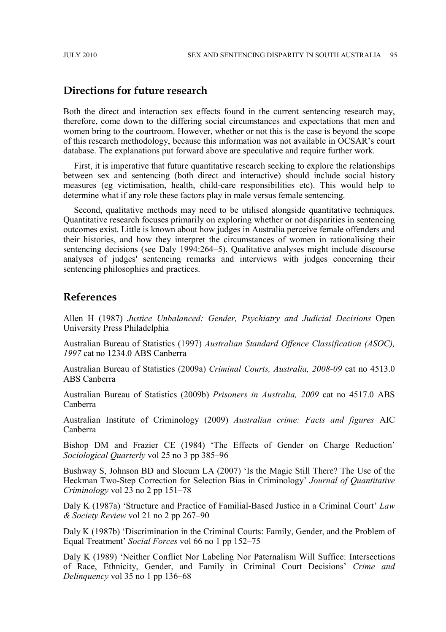## **Directions for future research**

Both the direct and interaction sex effects found in the current sentencing research may, therefore, come down to the differing social circumstances and expectations that men and women bring to the courtroom. However, whether or not this is the case is beyond the scope of this research methodology, because this information was not available in OCSAR's court database. The explanations put forward above are speculative and require further work.

First, it is imperative that future quantitative research seeking to explore the relationships between sex and sentencing (both direct and interactive) should include social history measures (eg victimisation, health, child-care responsibilities etc). This would help to determine what if any role these factors play in male versus female sentencing.

Second, qualitative methods may need to be utilised alongside quantitative techniques. Quantitative research focuses primarily on exploring whether or not disparities in sentencing outcomes exist. Little is known about how judges in Australia perceive female offenders and their histories, and how they interpret the circumstances of women in rationalising their sentencing decisions (see Daly 1994:264–5). Qualitative analyses might include discourse analyses of judges' sentencing remarks and interviews with judges concerning their sentencing philosophies and practices.

## **References**

Allen H (1987) *Justice Unbalanced: Gender, Psychiatry and Judicial Decisions* Open University Press Philadelphia

Australian Bureau of Statistics (1997) *Australian Standard Offence Classification (ASOC), 1997* cat no 1234.0 ABS Canberra

Australian Bureau of Statistics (2009a) *Criminal Courts, Australia, 2008-09* cat no 4513.0 ABS Canberra

Australian Bureau of Statistics (2009b) *Prisoners in Australia, 2009* cat no 4517.0 ABS Canberra

Australian Institute of Criminology (2009) *Australian crime: Facts and figures* AIC Canberra

Bishop DM and Frazier CE (1984) 'The Effects of Gender on Charge Reduction' *Sociological Quarterly* vol 25 no 3 pp 385–96

Bushway S, Johnson BD and Slocum LA (2007) 'Is the Magic Still There? The Use of the Heckman Two-Step Correction for Selection Bias in Criminology' *Journal of Quantitative Criminology* vol 23 no 2 pp 151–78

Daly K (1987a) 'Structure and Practice of Familial-Based Justice in a Criminal Court' *Law & Society Review* vol 21 no 2 pp 267–90

Daly K (1987b) 'Discrimination in the Criminal Courts: Family, Gender, and the Problem of Equal Treatment' *Social Forces* vol 66 no 1 pp 152–75

Daly K (1989) 'Neither Conflict Nor Labeling Nor Paternalism Will Suffice: Intersections of Race, Ethnicity, Gender, and Family in Criminal Court Decisions' *Crime and Delinquency* vol 35 no 1 pp 136–68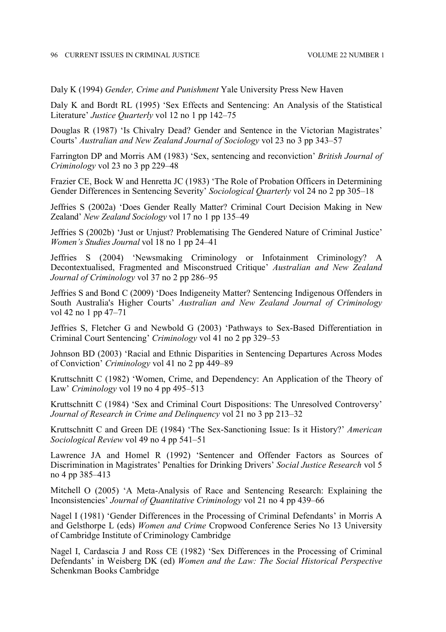Daly K (1994) *Gender, Crime and Punishment* Yale University Press New Haven

Daly K and Bordt RL (1995) 'Sex Effects and Sentencing: An Analysis of the Statistical Literature' *Justice Quarterly* vol 12 no 1 pp 142–75

Douglas R (1987) 'Is Chivalry Dead? Gender and Sentence in the Victorian Magistrates' Courts' *Australian and New Zealand Journal of Sociology* vol 23 no 3 pp 343–57

Farrington DP and Morris AM (1983) 'Sex, sentencing and reconviction' *British Journal of Criminology* vol 23 no 3 pp 229–48

Frazier CE, Bock W and Henretta JC (1983) 'The Role of Probation Officers in Determining Gender Differences in Sentencing Severity' *Sociological Quarterly* vol 24 no 2 pp 305–18

Jeffries S (2002a) 'Does Gender Really Matter? Criminal Court Decision Making in New Zealand' *New Zealand Sociology* vol 17 no 1 pp 135–49

Jeffries S (2002b) 'Just or Unjust? Problematising The Gendered Nature of Criminal Justice' *Women's Studies Journal* vol 18 no 1 pp 24–41

Jeffries S (2004) 'Newsmaking Criminology or Infotainment Criminology? A Decontextualised, Fragmented and Misconstrued Critique' *Australian and New Zealand Journal of Criminology* vol 37 no 2 pp 286–95

Jeffries S and Bond C (2009) 'Does Indigeneity Matter? Sentencing Indigenous Offenders in South Australia's Higher Courts' *Australian and New Zealand Journal of Criminology* vol 42 no 1 pp 47–71

Jeffries S, Fletcher G and Newbold G (2003) 'Pathways to Sex-Based Differentiation in Criminal Court Sentencing' *Criminology* vol 41 no 2 pp 329–53

Johnson BD (2003) 'Racial and Ethnic Disparities in Sentencing Departures Across Modes of Conviction' *Criminology* vol 41 no 2 pp 449–89

Kruttschnitt C (1982) 'Women, Crime, and Dependency: An Application of the Theory of Law' *Criminology* vol 19 no 4 pp 495–513

Kruttschnitt C (1984) 'Sex and Criminal Court Dispositions: The Unresolved Controversy' *Journal of Research in Crime and Delinquency* vol 21 no 3 pp 213–32

Kruttschnitt C and Green DE (1984) 'The Sex-Sanctioning Issue: Is it History?' *American Sociological Review* vol 49 no 4 pp 541–51

Lawrence JA and Homel R (1992) 'Sentencer and Offender Factors as Sources of Discrimination in Magistrates' Penalties for Drinking Drivers' *Social Justice Research* vol 5 no 4 pp 385–413

Mitchell O (2005) 'A Meta-Analysis of Race and Sentencing Research: Explaining the Inconsistencies' *Journal of Quantitative Criminology* vol 21 no 4 pp 439–66

Nagel I (1981) 'Gender Differences in the Processing of Criminal Defendants' in Morris A and Gelsthorpe L (eds) *Women and Crime* Cropwood Conference Series No 13 University of Cambridge Institute of Criminology Cambridge

Nagel I, Cardascia J and Ross CE (1982) 'Sex Differences in the Processing of Criminal Defendants' in Weisberg DK (ed) *Women and the Law: The Social Historical Perspective* Schenkman Books Cambridge